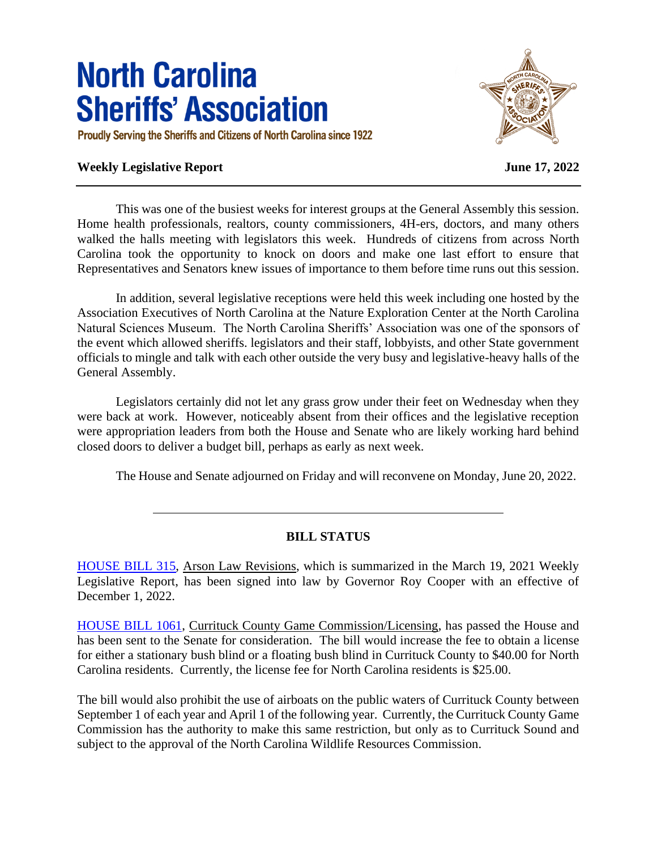## **North Carolina Sheriffs' Association**

Proudly Serving the Sheriffs and Citizens of North Carolina since 1922

## **Weekly Legislative Report June 17, 2022**



This was one of the busiest weeks for interest groups at the General Assembly this session. Home health professionals, realtors, county commissioners, 4H-ers, doctors, and many others walked the halls meeting with legislators this week. Hundreds of citizens from across North Carolina took the opportunity to knock on doors and make one last effort to ensure that Representatives and Senators knew issues of importance to them before time runs out this session.

In addition, several legislative receptions were held this week including one hosted by the Association Executives of North Carolina at the Nature Exploration Center at the North Carolina Natural Sciences Museum. The North Carolina Sheriffs' Association was one of the sponsors of the event which allowed sheriffs. legislators and their staff, lobbyists, and other State government officials to mingle and talk with each other outside the very busy and legislative-heavy halls of the General Assembly.

Legislators certainly did not let any grass grow under their feet on Wednesday when they were back at work. However, noticeably absent from their offices and the legislative reception were appropriation leaders from both the House and Senate who are likely working hard behind closed doors to deliver a budget bill, perhaps as early as next week.

The House and Senate adjourned on Friday and will reconvene on Monday, June 20, 2022.

## **BILL STATUS**

[HOUSE BILL 315,](https://www.ncleg.gov/BillLookUp/2021/H315) Arson Law Revisions, which is summarized in the March 19, 2021 Weekly Legislative Report, has been signed into law by Governor Roy Cooper with an effective of December 1, 2022.

[HOUSE BILL 1061,](https://www.ncleg.gov/BillLookUp/Index/2021/H1061/True) Currituck County Game Commission/Licensing, has passed the House and has been sent to the Senate for consideration. The bill would increase the fee to obtain a license for either a stationary bush blind or a floating bush blind in Currituck County to \$40.00 for North Carolina residents. Currently, the license fee for North Carolina residents is \$25.00.

The bill would also prohibit the use of airboats on the public waters of Currituck County between September 1 of each year and April 1 of the following year. Currently, the Currituck County Game Commission has the authority to make this same restriction, but only as to Currituck Sound and subject to the approval of the North Carolina Wildlife Resources Commission.